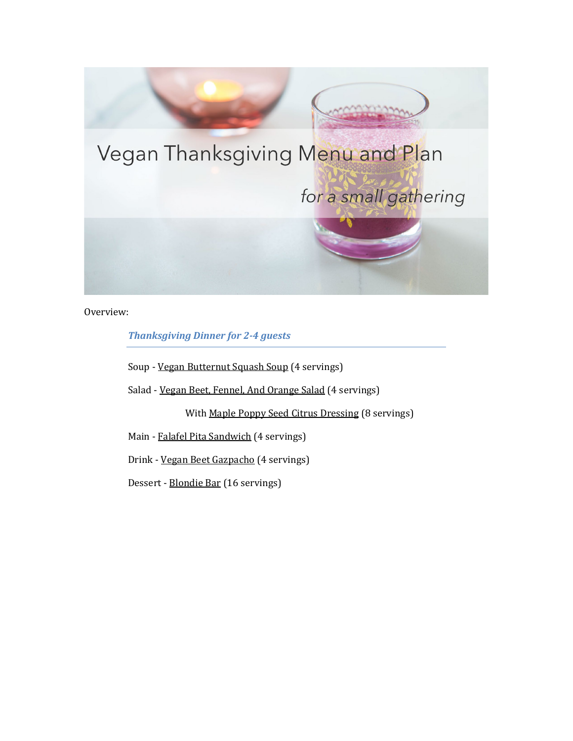

Overview:

*Thanksgiving Dinner for 2-4 guests*

Soup - [Vegan Butternut Squash Soup \(](https://mealvana.io/recipe/Vegan-Butternut-Squash-Soup)4 servings)

Salad [- Vegan Beet, Fennel, And Orange Salad \(](https://mealvana.io/recipe/Vegan-Beet,-Fennel,-And-Orange-Salad)4 servings)

With [Maple Poppy Seed Citrus Dressing \(](https://mealvana.io/Maple-Poppy-Seed-Citrus-Dressing)8 servings)

Main - [Falafel Pita Sandwich](https://mealvana.io/recipe/Falafel-Pita-Sandwich) (4 servings)

Drink - [Vegan Beet Gazpacho \(](https://mealvana.io/recipe/Vegan-Beet-Gazpacho)4 servings)

Dessert - [Blondie Bar \(](https://mealvana.io/recipe/Blondie-Bar)16 servings)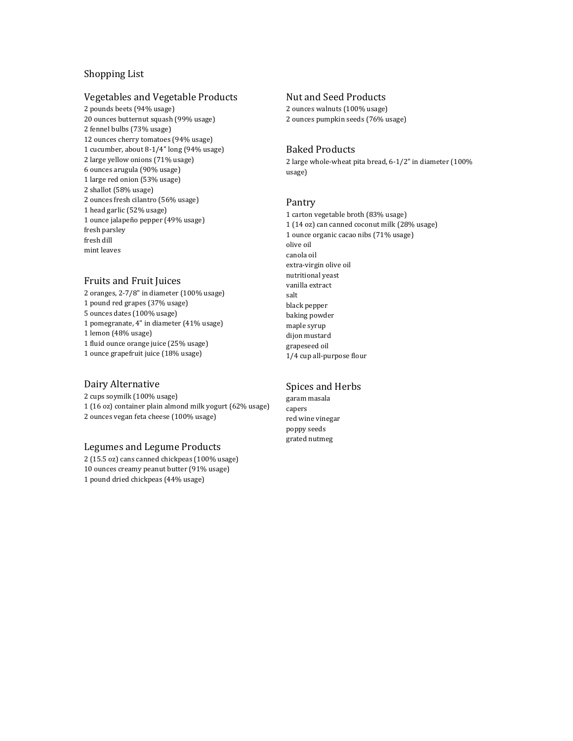# Shopping List

#### Vegetables and Vegetable Products

2 pounds beets (94% usage) 20 ounces butternut squash (99% usage) 2 fennel bulbs (73% usage) 12 ounces cherry tomatoes (94% usage) 1 cucumber, about 8-1/4" long (94% usage) 2 large yellow onions (71% usage) 6 ounces arugula (90% usage) 1 large red onion (53% usage) 2 shallot (58% usage) 2 ounces fresh cilantro (56% usage) 1 head garlic (52% usage) 1 ounce jalapeño pepper (49% usage) fresh parsley fresh dill mint leaves

# Fruits and Fruit Juices

2 oranges, 2-7/8" in diameter (100% usage) 1 pound red grapes (37% usage) 5 ounces dates (100% usage) 1 pomegranate, 4" in diameter (41% usage) 1 lemon (48% usage) 1 fluid ounce orange juice (25% usage) 1 ounce grapefruit juice (18% usage)

# Dairy Alternative

2 cups soymilk (100% usage) 1 (16 oz) container plain almond milk yogurt (62% usage) 2 ounces vegan feta cheese (100% usage)

## Legumes and Legume Products

2 (15.5 oz) cans canned chickpeas (100% usage) 10 ounces creamy peanut butter (91% usage) 1 pound dried chickpeas (44% usage)

# Nut and Seed Products

2 ounces walnuts (100% usage) 2 ounces pumpkin seeds (76% usage)

# Baked Products

2 large whole-wheat pita bread, 6-1/2" in diameter (100% usage)

#### Pantry

1 carton vegetable broth (83% usage) 1 (14 oz) can canned coconut milk (28% usage) 1 ounce organic cacao nibs (71% usage) olive oil canola oil extra-virgin olive oil nutritional yeast vanilla extract salt black pepper baking powder maple syrup dijon mustard grapeseed oil 1/4 cup all-purpose flour

## Spices and Herbs

garam masala capers red wine vinegar poppy seeds grated nutmeg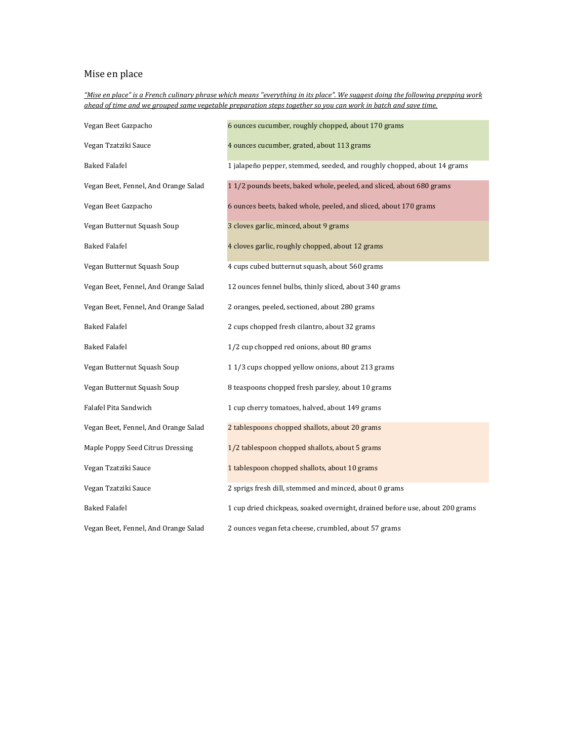# Mise en place

*"Mise en place" is a French culinary phrase which means "everything in its place". We suggest doing the following prepping work ahead of time and we grouped same vegetable preparation steps together so you can work in batch and save time.* 

| Vegan Beet Gazpacho                  | 6 ounces cucumber, roughly chopped, about 170 grams                          |
|--------------------------------------|------------------------------------------------------------------------------|
| Vegan Tzatziki Sauce                 | 4 ounces cucumber, grated, about 113 grams                                   |
| <b>Baked Falafel</b>                 | 1 jalapeño pepper, stemmed, seeded, and roughly chopped, about 14 grams      |
| Vegan Beet, Fennel, And Orange Salad | 11/2 pounds beets, baked whole, peeled, and sliced, about 680 grams          |
| Vegan Beet Gazpacho                  | 6 ounces beets, baked whole, peeled, and sliced, about 170 grams             |
| Vegan Butternut Squash Soup          | 3 cloves garlic, minced, about 9 grams                                       |
| <b>Baked Falafel</b>                 | 4 cloves garlic, roughly chopped, about 12 grams                             |
| Vegan Butternut Squash Soup          | 4 cups cubed butternut squash, about 560 grams                               |
| Vegan Beet, Fennel, And Orange Salad | 12 ounces fennel bulbs, thinly sliced, about 340 grams                       |
| Vegan Beet, Fennel, And Orange Salad | 2 oranges, peeled, sectioned, about 280 grams                                |
| <b>Baked Falafel</b>                 | 2 cups chopped fresh cilantro, about 32 grams                                |
| <b>Baked Falafel</b>                 | 1/2 cup chopped red onions, about 80 grams                                   |
| Vegan Butternut Squash Soup          | 11/3 cups chopped yellow onions, about 213 grams                             |
| Vegan Butternut Squash Soup          | 8 teaspoons chopped fresh parsley, about 10 grams                            |
| Falafel Pita Sandwich                | 1 cup cherry tomatoes, halved, about 149 grams                               |
| Vegan Beet, Fennel, And Orange Salad | 2 tablespoons chopped shallots, about 20 grams                               |
| Maple Poppy Seed Citrus Dressing     | 1/2 tablespoon chopped shallots, about 5 grams                               |
| Vegan Tzatziki Sauce                 | 1 tablespoon chopped shallots, about 10 grams                                |
| Vegan Tzatziki Sauce                 | 2 sprigs fresh dill, stemmed and minced, about 0 grams                       |
| <b>Baked Falafel</b>                 | 1 cup dried chickpeas, soaked overnight, drained before use, about 200 grams |
| Vegan Beet, Fennel, And Orange Salad | 2 ounces vegan feta cheese, crumbled, about 57 grams                         |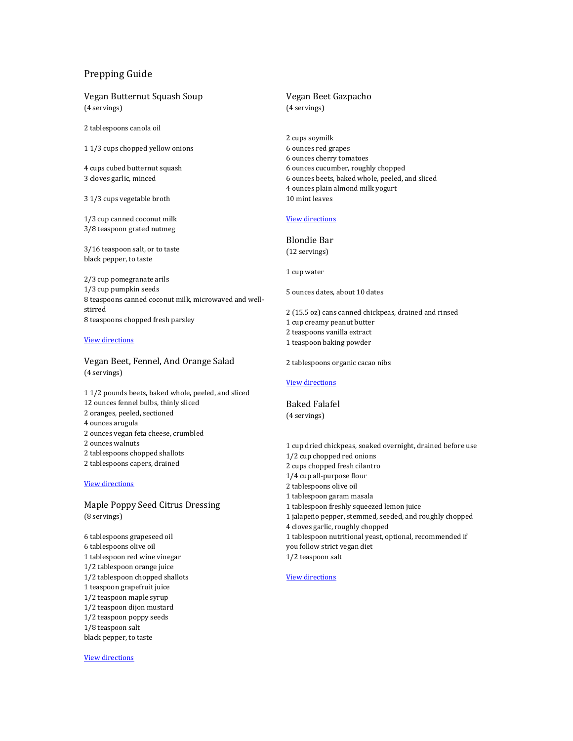## Prepping Guide

Vegan Butternut Squash Soup (4 servings)

2 tablespoons canola oil

1 1/3 cups chopped yellow onions

4 cups cubed butternut squash 3 cloves garlic, minced

3 1/3 cups vegetable broth

1/3 cup canned coconut milk 3/8 teaspoon grated nutmeg

3/16 teaspoon salt, or to taste black pepper, to taste

2/3 cup pomegranate arils 1/3 cup pumpkin seeds 8 teaspoons canned coconut milk, microwaved and wellstirred 8 teaspoons chopped fresh parsley

#### [View directions](https://mealvana.io/recipe/Vegan-Butternut-Squash-Soup/)

Vegan Beet, Fennel, And Orange Salad (4 servings)

1 1/2 pounds beets, baked whole, peeled, and sliced 12 ounces fennel bulbs, thinly sliced 2 oranges, peeled, sectioned 4 ounces arugula 2 ounces vegan feta cheese, crumbled 2 ounces walnuts 2 tablespoons chopped shallots 2 tablespoons capers, drained

#### [View directions](https://mealvana.io/recipe/vegan-beet-fennel-and-orange-salad/)

Maple Poppy Seed Citrus Dressing (8 servings)

6 tablespoons grapeseed oil 6 tablespoons olive oil 1 tablespoon red wine vinegar 1/2 tablespoon orange juice 1/2 tablespoon chopped shallots 1 teaspoon grapefruit juice 1/2 teaspoon maple syrup 1/2 teaspoon dijon mustard 1/2 teaspoon poppy seeds 1/8 teaspoon salt black pepper, to taste

[View directions](https://mealvana.io/Maple-Poppy-Seed-Citrus-Dressing/)

#### Vegan Beet Gazpacho (4 servings)

2 cups soymilk 6 ounces red grapes 6 ounces cherry tomatoes 6 ounces cucumber, roughly chopped 6 ounces beets, baked whole, peeled, and sliced 4 ounces plain almond milk yogurt 10 mint leaves

### [View directions](https://mealvana.io/recipe/Vegan-Beet-Gazpacho/)

Blondie Bar (12 servings)

1 cup water

5 ounces dates, about 10 dates

2 (15.5 oz) cans canned chickpeas, drained and rinsed 1 cup creamy peanut butter 2 teaspoons vanilla extract 1 teaspoon baking powder

2 tablespoons organic cacao nibs

#### [View directions](https://mealvana.io/recipe/Blondie-Bar/)

Baked Falafel (4 servings)

1 cup dried chickpeas, soaked overnight, drained before use 1/2 cup chopped red onions 2 cups chopped fresh cilantro 1/4 cup all-purpose flour 2 tablespoons olive oil 1 tablespoon garam masala 1 tablespoon freshly squeezed lemon juice 1 jalapeño pepper, stemmed, seeded, and roughly chopped 4 cloves garlic, roughly chopped 1 tablespoon nutritional yeast, optional, recommended if you follow strict vegan diet

1/2 teaspoon salt

#### [View directions](https://mealvana.io/recipe/baked-falafel/)